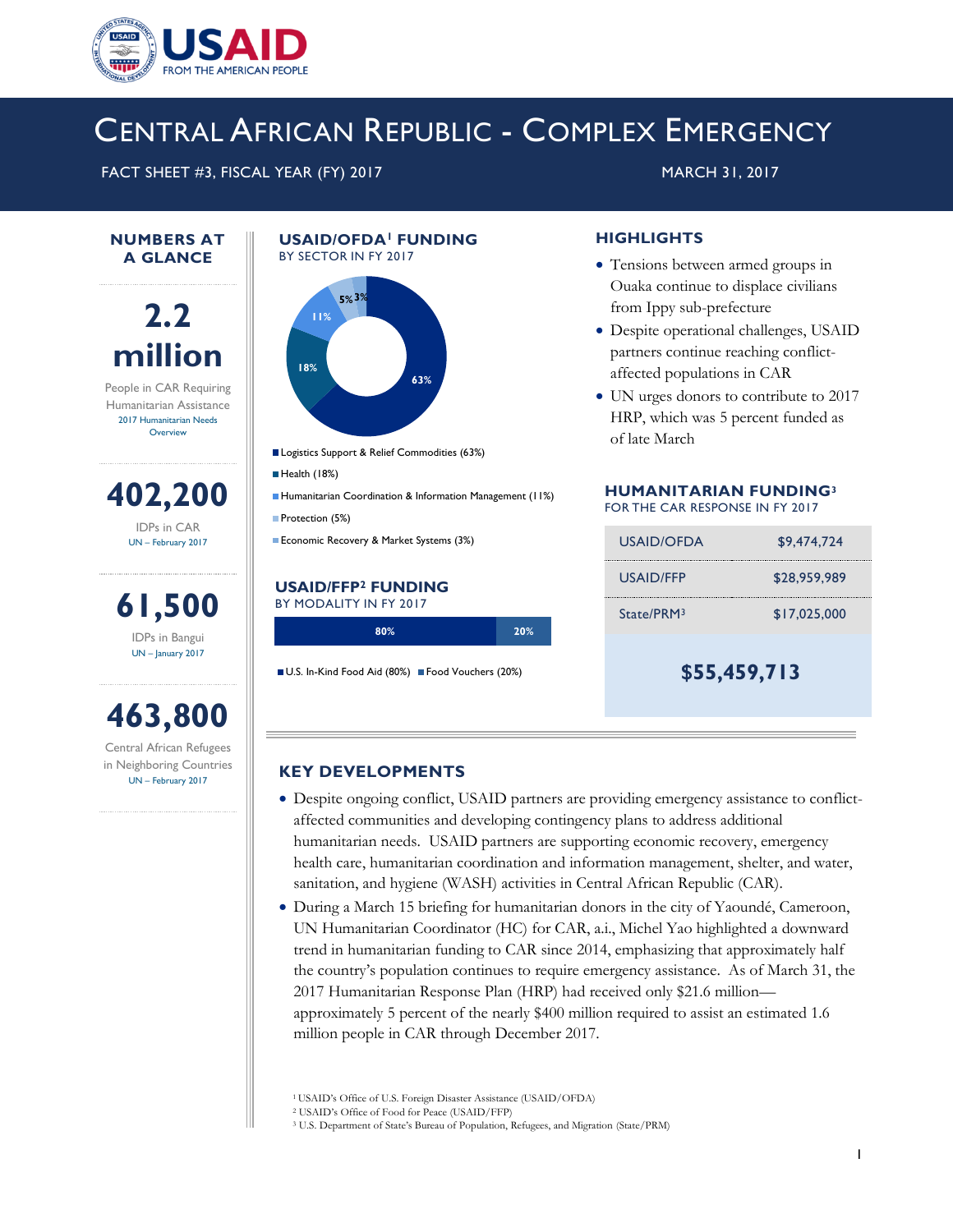

## CENTRAL AFRICAN REPUBLIC - COMPLEX EMERGENCY

FACT SHEET #3, FISCAL YEAR (FY) 2017 MARCH 31, 2017

#### **NUMBERS AT A GLANCE**



People in CAR Requiring Humanitarian Assistance 2017 Humanitarian Needs **Overview** 

**402,200** IDPs in CAR

UN – February 2017

**61,500** IDPs in Bangui UN – January 2017

# **463,800**

Central African Refugees in Neighboring Countries UN – February 2017

#### **USAID/OFDA<sup>1</sup>FUNDING**  BY SECTOR IN FY 2017



- Logistics Support & Relief Commodities (63%)
- Health (18%)
- Humanitarian Coordination & Information Management (11%) Protection (5%)
- Economic Recovery & Market Systems (3%)

#### **USAID/FFP<sup>2</sup> FUNDING** BY MODALITY IN FY 2017

| 80% | 20% |
|-----|-----|
|     |     |

U.S. In-Kind Food Aid (80%) Food Vouchers (20%)

### **HIGHLIGHTS**

- Tensions between armed groups in Ouaka continue to displace civilians from Ippy sub-prefecture
- Despite operational challenges, USAID partners continue reaching conflictaffected populations in CAR
- UN urges donors to contribute to 2017 HRP, which was 5 percent funded as of late March

#### **HUMANITARIAN FUNDING<sup>3</sup>** FOR THE CAR RESPONSE IN FY 2017

| USAID/OFDA             | \$9,474,724  |
|------------------------|--------------|
| USAID/FFP              | \$28,959,989 |
| State/PRM <sup>3</sup> | \$17,025,000 |
|                        |              |

**\$55,459,713**

#### **KEY DEVELOPMENTS**

- Despite ongoing conflict, USAID partners are providing emergency assistance to conflictaffected communities and developing contingency plans to address additional humanitarian needs. USAID partners are supporting economic recovery, emergency health care, humanitarian coordination and information management, shelter, and water, sanitation, and hygiene (WASH) activities in Central African Republic (CAR).
- During a March 15 briefing for humanitarian donors in the city of Yaoundé, Cameroon, UN Humanitarian Coordinator (HC) for CAR, a.i., Michel Yao highlighted a downward trend in humanitarian funding to CAR since 2014, emphasizing that approximately half the country's population continues to require emergency assistance. As of March 31, the 2017 Humanitarian Response Plan (HRP) had received only \$21.6 million approximately 5 percent of the nearly \$400 million required to assist an estimated 1.6 million people in CAR through December 2017.

<sup>1</sup>USAID's Office of U.S. Foreign Disaster Assistance (USAID/OFDA)

<sup>2</sup> USAID's Office of Food for Peace (USAID/FFP)

<sup>3</sup> U.S. Department of State's Bureau of Population, Refugees, and Migration (State/PRM)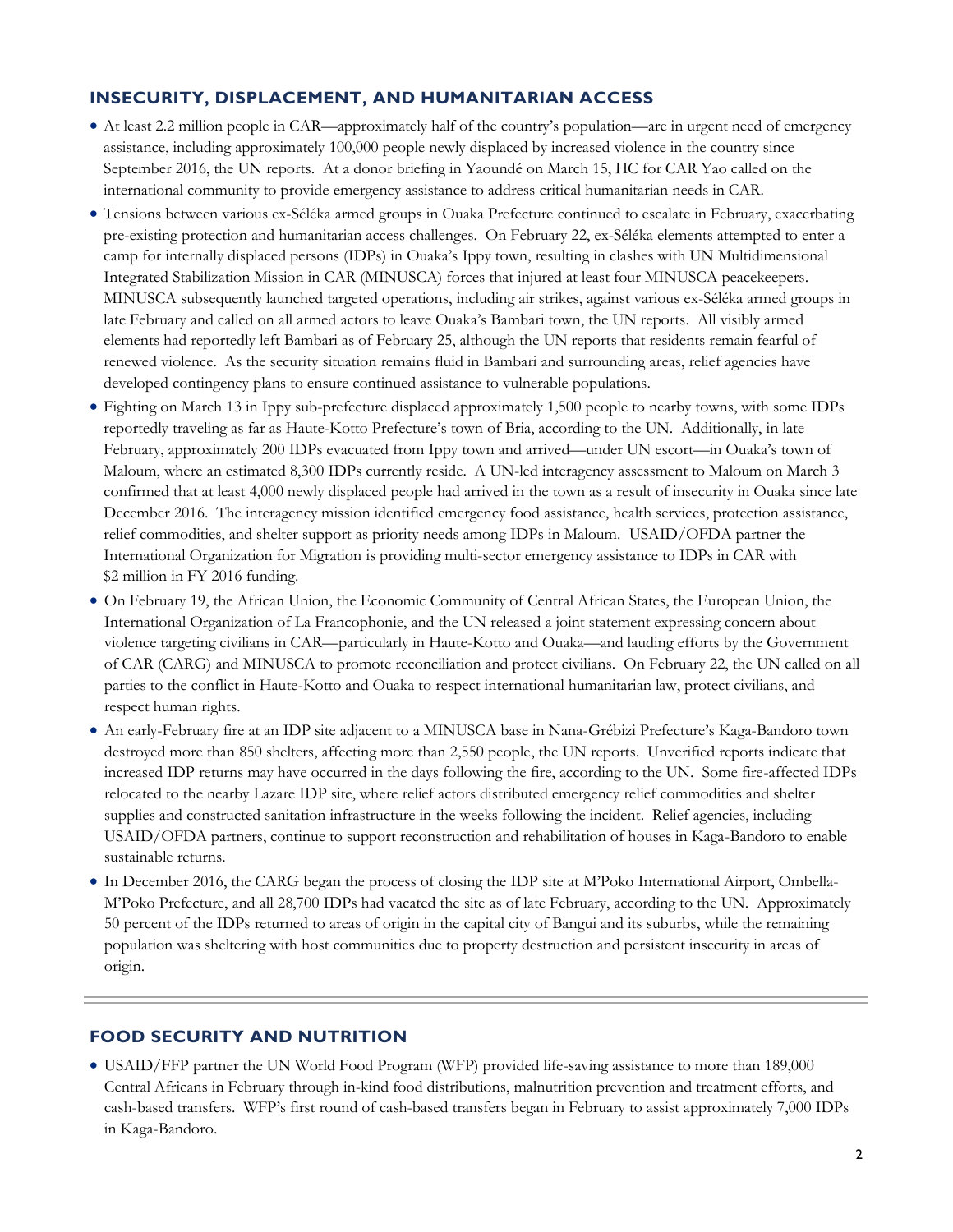## **INSECURITY, DISPLACEMENT, AND HUMANITARIAN ACCESS**

- At least 2.2 million people in CAR—approximately half of the country's population—are in urgent need of emergency assistance, including approximately 100,000 people newly displaced by increased violence in the country since September 2016, the UN reports. At a donor briefing in Yaoundé on March 15, HC for CAR Yao called on the international community to provide emergency assistance to address critical humanitarian needs in CAR.
- Tensions between various ex-Séléka armed groups in Ouaka Prefecture continued to escalate in February, exacerbating pre-existing protection and humanitarian access challenges. On February 22, ex-Séléka elements attempted to enter a camp for internally displaced persons (IDPs) in Ouaka's Ippy town, resulting in clashes with UN Multidimensional Integrated Stabilization Mission in CAR (MINUSCA) forces that injured at least four MINUSCA peacekeepers. MINUSCA subsequently launched targeted operations, including air strikes, against various ex-Séléka armed groups in late February and called on all armed actors to leave Ouaka's Bambari town, the UN reports. All visibly armed elements had reportedly left Bambari as of February 25, although the UN reports that residents remain fearful of renewed violence. As the security situation remains fluid in Bambari and surrounding areas, relief agencies have developed contingency plans to ensure continued assistance to vulnerable populations.
- Fighting on March 13 in Ippy sub-prefecture displaced approximately 1,500 people to nearby towns, with some IDPs reportedly traveling as far as Haute-Kotto Prefecture's town of Bria, according to the UN. Additionally, in late February, approximately 200 IDPs evacuated from Ippy town and arrived—under UN escort—in Ouaka's town of Maloum, where an estimated 8,300 IDPs currently reside. A UN-led interagency assessment to Maloum on March 3 confirmed that at least 4,000 newly displaced people had arrived in the town as a result of insecurity in Ouaka since late December 2016. The interagency mission identified emergency food assistance, health services, protection assistance, relief commodities, and shelter support as priority needs among IDPs in Maloum. USAID/OFDA partner the International Organization for Migration is providing multi-sector emergency assistance to IDPs in CAR with \$2 million in FY 2016 funding.
- On February 19, the African Union, the Economic Community of Central African States, the European Union, the International Organization of La Francophonie, and the UN released a joint statement expressing concern about violence targeting civilians in CAR—particularly in Haute-Kotto and Ouaka—and lauding efforts by the Government of CAR (CARG) and MINUSCA to promote reconciliation and protect civilians. On February 22, the UN called on all parties to the conflict in Haute-Kotto and Ouaka to respect international humanitarian law, protect civilians, and respect human rights.
- An early-February fire at an IDP site adjacent to a MINUSCA base in Nana-Grébizi Prefecture's Kaga-Bandoro town destroyed more than 850 shelters, affecting more than 2,550 people, the UN reports. Unverified reports indicate that increased IDP returns may have occurred in the days following the fire, according to the UN. Some fire-affected IDPs relocated to the nearby Lazare IDP site, where relief actors distributed emergency relief commodities and shelter supplies and constructed sanitation infrastructure in the weeks following the incident. Relief agencies, including USAID/OFDA partners, continue to support reconstruction and rehabilitation of houses in Kaga-Bandoro to enable sustainable returns.
- In December 2016, the CARG began the process of closing the IDP site at M'Poko International Airport, Ombella-M'Poko Prefecture, and all 28,700 IDPs had vacated the site as of late February, according to the UN. Approximately 50 percent of the IDPs returned to areas of origin in the capital city of Bangui and its suburbs, while the remaining population was sheltering with host communities due to property destruction and persistent insecurity in areas of origin.

## **FOOD SECURITY AND NUTRITION**

 USAID/FFP partner the UN World Food Program (WFP) provided life-saving assistance to more than 189,000 Central Africans in February through in-kind food distributions, malnutrition prevention and treatment efforts, and cash-based transfers. WFP's first round of cash-based transfers began in February to assist approximately 7,000 IDPs in Kaga-Bandoro.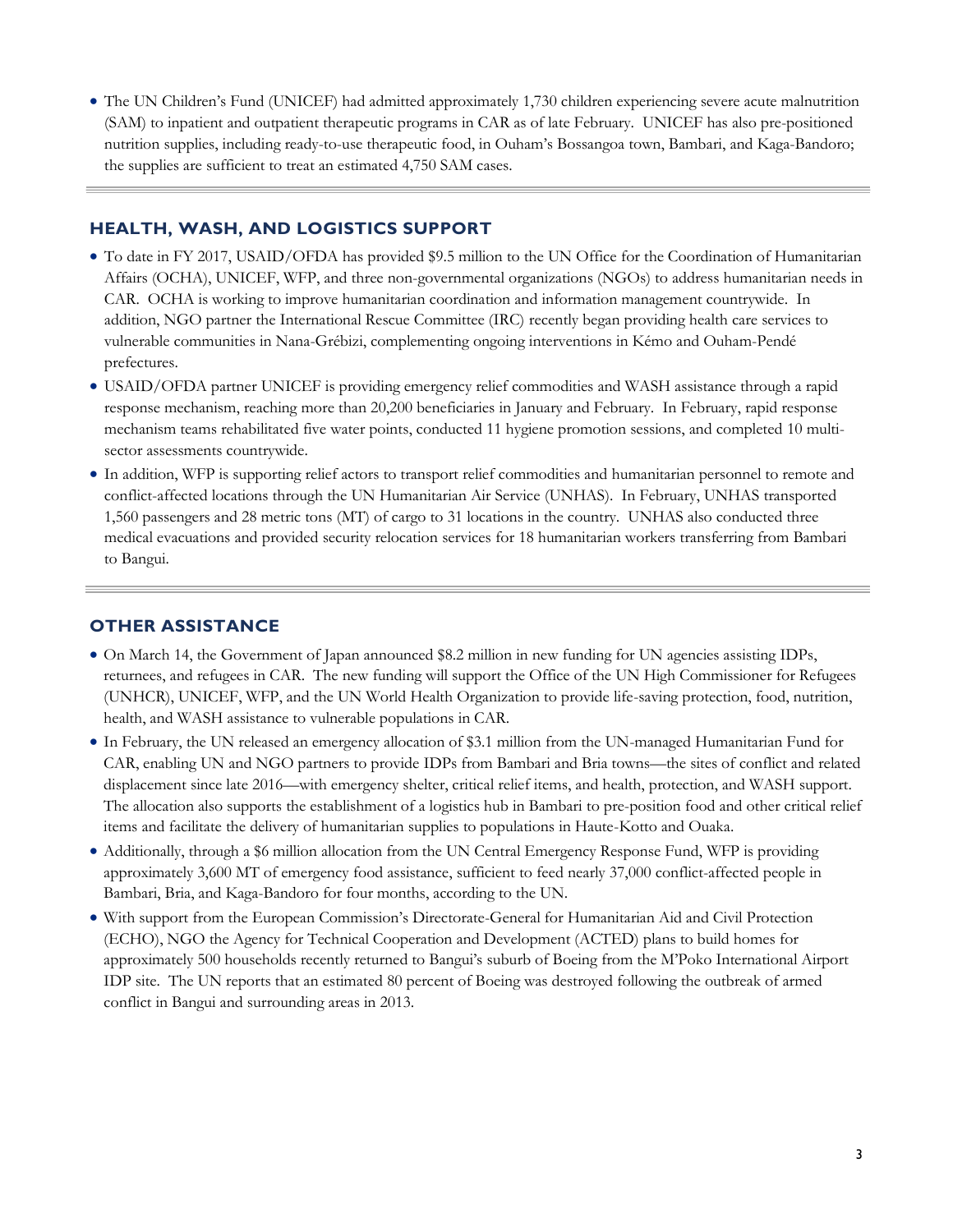The UN Children's Fund (UNICEF) had admitted approximately 1,730 children experiencing severe acute malnutrition (SAM) to inpatient and outpatient therapeutic programs in CAR as of late February. UNICEF has also pre-positioned nutrition supplies, including ready-to-use therapeutic food, in Ouham's Bossangoa town, Bambari, and Kaga-Bandoro; the supplies are sufficient to treat an estimated 4,750 SAM cases.

### **HEALTH, WASH, AND LOGISTICS SUPPORT**

- To date in FY 2017, USAID/OFDA has provided \$9.5 million to the UN Office for the Coordination of Humanitarian Affairs (OCHA), UNICEF, WFP, and three non-governmental organizations (NGOs) to address humanitarian needs in CAR. OCHA is working to improve humanitarian coordination and information management countrywide. In addition, NGO partner the International Rescue Committee (IRC) recently began providing health care services to vulnerable communities in Nana-Grébizi, complementing ongoing interventions in Kémo and Ouham-Pendé prefectures.
- USAID/OFDA partner UNICEF is providing emergency relief commodities and WASH assistance through a rapid response mechanism, reaching more than 20,200 beneficiaries in January and February. In February, rapid response mechanism teams rehabilitated five water points, conducted 11 hygiene promotion sessions, and completed 10 multisector assessments countrywide.
- In addition, WFP is supporting relief actors to transport relief commodities and humanitarian personnel to remote and conflict-affected locations through the UN Humanitarian Air Service (UNHAS). In February, UNHAS transported 1,560 passengers and 28 metric tons (MT) of cargo to 31 locations in the country. UNHAS also conducted three medical evacuations and provided security relocation services for 18 humanitarian workers transferring from Bambari to Bangui.

## **OTHER ASSISTANCE**

- On March 14, the Government of Japan announced \$8.2 million in new funding for UN agencies assisting IDPs, returnees, and refugees in CAR. The new funding will support the Office of the UN High Commissioner for Refugees (UNHCR), UNICEF, WFP, and the UN World Health Organization to provide life-saving protection, food, nutrition, health, and WASH assistance to vulnerable populations in CAR.
- In February, the UN released an emergency allocation of \$3.1 million from the UN-managed Humanitarian Fund for CAR, enabling UN and NGO partners to provide IDPs from Bambari and Bria towns—the sites of conflict and related displacement since late 2016—with emergency shelter, critical relief items, and health, protection, and WASH support. The allocation also supports the establishment of a logistics hub in Bambari to pre-position food and other critical relief items and facilitate the delivery of humanitarian supplies to populations in Haute-Kotto and Ouaka.
- Additionally, through a \$6 million allocation from the UN Central Emergency Response Fund, WFP is providing approximately 3,600 MT of emergency food assistance, sufficient to feed nearly 37,000 conflict-affected people in Bambari, Bria, and Kaga-Bandoro for four months, according to the UN.
- With support from the European Commission's Directorate-General for Humanitarian Aid and Civil Protection (ECHO), NGO the Agency for Technical Cooperation and Development (ACTED) plans to build homes for approximately 500 households recently returned to Bangui's suburb of Boeing from the M'Poko International Airport IDP site. The UN reports that an estimated 80 percent of Boeing was destroyed following the outbreak of armed conflict in Bangui and surrounding areas in 2013.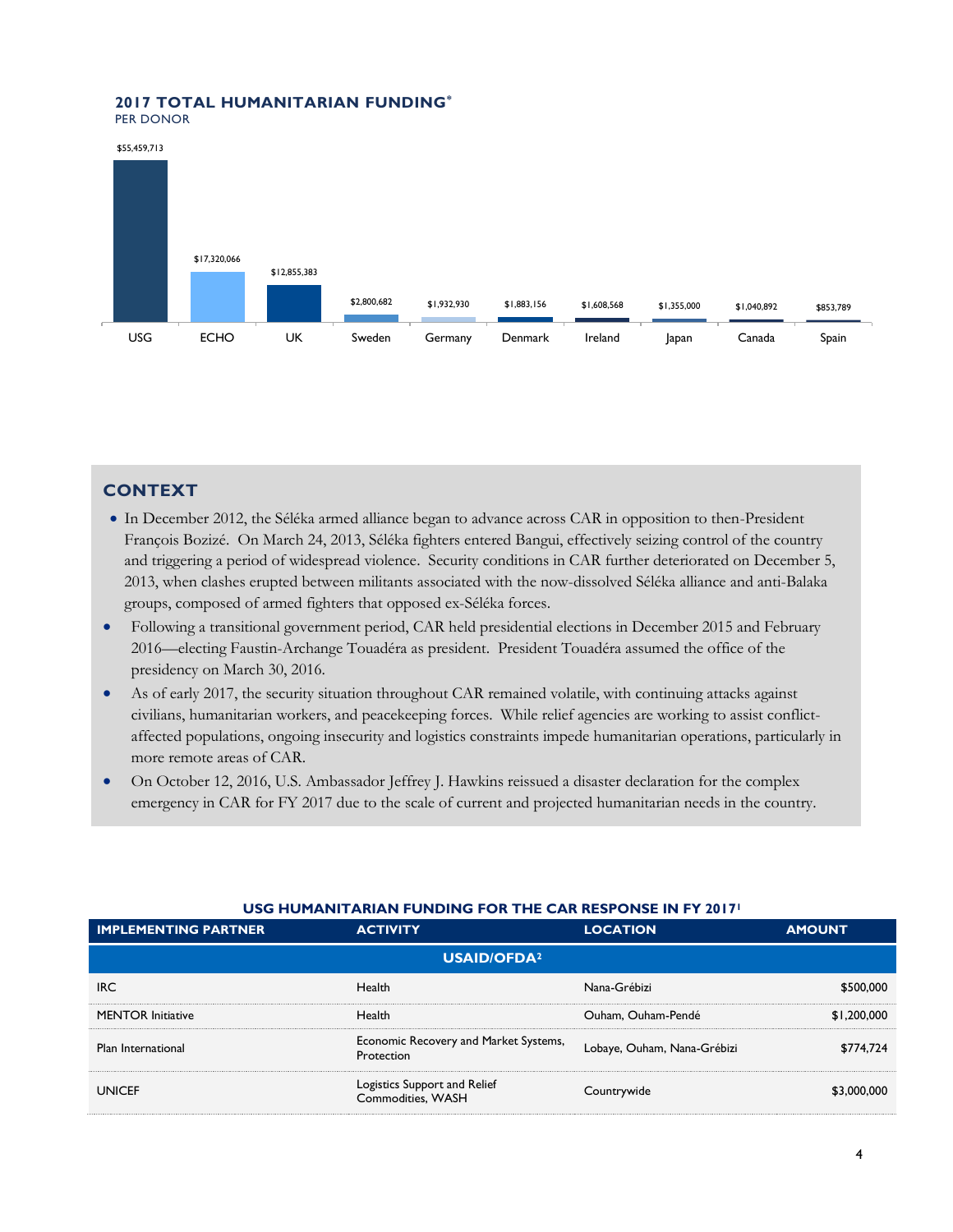#### **2017 TOTAL HUMANITARIAN FUNDING\*** PER DONOR





## **CONTEXT**

- In December 2012, the Séléka armed alliance began to advance across CAR in opposition to then-President François Bozizé. On March 24, 2013, Séléka fighters entered Bangui, effectively seizing control of the country and triggering a period of widespread violence. Security conditions in CAR further deteriorated on December 5, 2013, when clashes erupted between militants associated with the now-dissolved Séléka alliance and anti-Balaka groups, composed of armed fighters that opposed ex-Séléka forces.
- Following a transitional government period, CAR held presidential elections in December 2015 and February 2016—electing Faustin-Archange Touadéra as president. President Touadéra assumed the office of the presidency on March 30, 2016.
- As of early 2017, the security situation throughout CAR remained volatile, with continuing attacks against civilians, humanitarian workers, and peacekeeping forces. While relief agencies are working to assist conflictaffected populations, ongoing insecurity and logistics constraints impede humanitarian operations, particularly in more remote areas of CAR.
- On October 12, 2016, U.S. Ambassador Jeffrey J. Hawkins reissued a disaster declaration for the complex emergency in CAR for FY 2017 due to the scale of current and projected humanitarian needs in the country.

| <b>IMPLEMENTING PARTNER</b> | <b>ACTIVITY</b>                                     | <b>LOCATION</b>             | <b>AMOUNT</b> |  |  |
|-----------------------------|-----------------------------------------------------|-----------------------------|---------------|--|--|
| USAID/OFDA <sup>2</sup>     |                                                     |                             |               |  |  |
| <b>IRC</b>                  | Health                                              | Nana-Grébizi                | \$500,000     |  |  |
| <b>MENTOR Initiative</b>    | Health                                              | Ouham, Ouham-Pendé          | \$1,200,000   |  |  |
| Plan International          | Economic Recovery and Market Systems,<br>Protection | Lobaye, Ouham, Nana-Grébizi | \$774.724     |  |  |
| <b>UNICEF</b>               | Logistics Support and Relief<br>Commodities, WASH   | Countrywide                 | \$3,000,000   |  |  |

#### **USG HUMANITARIAN FUNDING FOR THE CAR RESPONSE IN FY 2017<sup>1</sup>**